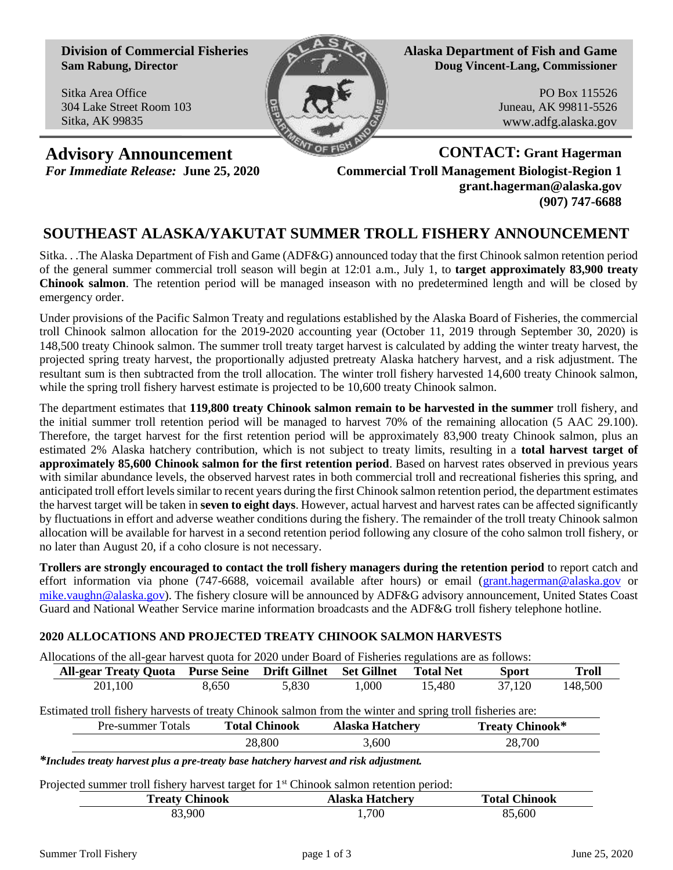**Division of Commercial Fisheries Sam Rabung, Director**

Sitka Area Office 304 Lake Street Room 103 Sitka, AK 99835



**Alaska Department of Fish and Game Doug Vincent-Lang, Commissioner**

> PO Box 115526 Juneau, AK 99811-5526 www.adfg.alaska.gov

**Advisory Announcement CONTACT: Grant Hagerman**

*For Immediate Release:* **June 25, 2020 Commercial Troll Management Biologist-Region 1 grant.hagerman@alaska.gov (907) 747-6688**

# **SOUTHEAST ALASKA/YAKUTAT SUMMER TROLL FISHERY ANNOUNCEMENT**

Sitka. . .The Alaska Department of Fish and Game (ADF&G) announced today that the first Chinook salmon retention period of the general summer commercial troll season will begin at 12:01 a.m., July 1, to **target approximately 83,900 treaty Chinook salmon**. The retention period will be managed inseason with no predetermined length and will be closed by emergency order.

Under provisions of the Pacific Salmon Treaty and regulations established by the Alaska Board of Fisheries, the commercial troll Chinook salmon allocation for the 2019-2020 accounting year (October 11, 2019 through September 30, 2020) is 148,500 treaty Chinook salmon. The summer troll treaty target harvest is calculated by adding the winter treaty harvest, the projected spring treaty harvest, the proportionally adjusted pretreaty Alaska hatchery harvest, and a risk adjustment. The resultant sum is then subtracted from the troll allocation. The winter troll fishery harvested 14,600 treaty Chinook salmon, while the spring troll fishery harvest estimate is projected to be 10,600 treaty Chinook salmon.

The department estimates that **119,800 treaty Chinook salmon remain to be harvested in the summer** troll fishery, and the initial summer troll retention period will be managed to harvest 70% of the remaining allocation (5 AAC 29.100). Therefore, the target harvest for the first retention period will be approximately 83,900 treaty Chinook salmon, plus an estimated 2% Alaska hatchery contribution, which is not subject to treaty limits, resulting in a **total harvest target of approximately 85,600 Chinook salmon for the first retention period**. Based on harvest rates observed in previous years with similar abundance levels, the observed harvest rates in both commercial troll and recreational fisheries this spring, and anticipated troll effort levels similar to recent years during the first Chinook salmon retention period, the department estimates the harvest target will be taken in **seven to eight days**. However, actual harvest and harvest rates can be affected significantly by fluctuations in effort and adverse weather conditions during the fishery. The remainder of the troll treaty Chinook salmon allocation will be available for harvest in a second retention period following any closure of the coho salmon troll fishery, or no later than August 20, if a coho closure is not necessary.

**Trollers are strongly encouraged to contact the troll fishery managers during the retention period** to report catch and effort information via phone (747-6688, voicemail available after hours) or email [\(grant.hagerman@alaska.gov](mailto:grant.hagerman@alaska.gov) or [mike.vaughn@alaska.gov\)](mailto:mike.vaughn@alaska.gov). The fishery closure will be announced by ADF&G advisory announcement, United States Coast Guard and National Weather Service marine information broadcasts and the ADF&G troll fishery telephone hotline.

### **2020 ALLOCATIONS AND PROJECTED TREATY CHINOOK SALMON HARVESTS**

|                                                                                                           | Allocations of the all-gear harvest quota for 2020 under Board of Fisheries regulations are as follows: |       |                                  |                        |                  |                 |              |  |  |
|-----------------------------------------------------------------------------------------------------------|---------------------------------------------------------------------------------------------------------|-------|----------------------------------|------------------------|------------------|-----------------|--------------|--|--|
|                                                                                                           | <b>All-gear Treaty Quota</b>                                                                            |       | <b>Purse Seine</b> Drift Gillnet | <b>Set Gillnet</b>     | <b>Total Net</b> | <b>Sport</b>    | <b>Troll</b> |  |  |
|                                                                                                           | 201.100                                                                                                 | 8.650 | 5.830                            | 1.000                  | 15.480           | 37,120          | 148,500      |  |  |
| Estimated troll fishery harvests of treaty Chinook salmon from the winter and spring troll fisheries are: |                                                                                                         |       |                                  |                        |                  |                 |              |  |  |
|                                                                                                           | Pre-summer Totals                                                                                       |       | <b>Total Chinook</b>             | <b>Alaska Hatchery</b> |                  | Treaty Chinook* |              |  |  |
|                                                                                                           |                                                                                                         |       | 28,800<br>3.600                  |                        | 28,700           |                 |              |  |  |
|                                                                                                           | *Includes treaty harvest plus a pre-treaty hase hatchery harvest and risk adjustment                    |       |                                  |                        |                  |                 |              |  |  |

*\*Includes treaty harvest plus a pre-treaty base hatchery harvest and risk adjustment.*

Projected summer troll fishery harvest target for 1<sup>st</sup> Chinook salmon retention period:

| $\cdot$ | <b>Treaty Chinook</b> | <b>Alaska Hatchery</b> | <b>Chinook</b><br>Total C |  |  |
|---------|-----------------------|------------------------|---------------------------|--|--|
|         | ,900                  | 700                    | ,600                      |  |  |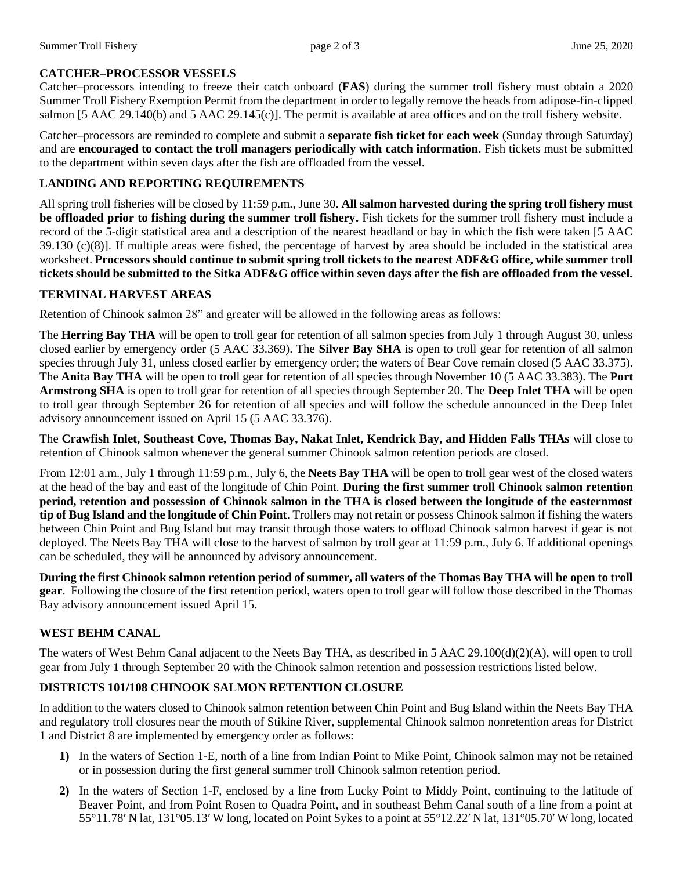## **CATCHER–PROCESSOR VESSELS**

Catcher–processors intending to freeze their catch onboard (**FAS**) during the summer troll fishery must obtain a 2020 Summer Troll Fishery Exemption Permit from the department in order to legally remove the heads from adipose-fin-clipped salmon [5 AAC 29.140(b) and 5 AAC 29.145(c)]. The permit is available at area offices and on the troll fishery website.

Catcher–processors are reminded to complete and submit a **separate fish ticket for each week** (Sunday through Saturday) and are **encouraged to contact the troll managers periodically with catch information**. Fish tickets must be submitted to the department within seven days after the fish are offloaded from the vessel.

## **LANDING AND REPORTING REQUIREMENTS**

All spring troll fisheries will be closed by 11:59 p.m., June 30. **All salmon harvested during the spring troll fishery must be offloaded prior to fishing during the summer troll fishery.** Fish tickets for the summer troll fishery must include a record of the 5-digit statistical area and a description of the nearest headland or bay in which the fish were taken [5 AAC  $39.130$  (c)(8)]. If multiple areas were fished, the percentage of harvest by area should be included in the statistical area worksheet. **Processors should continue to submit spring troll tickets to the nearest ADF&G office, while summer troll tickets should be submitted to the Sitka ADF&G office within seven days after the fish are offloaded from the vessel.**

## **TERMINAL HARVEST AREAS**

Retention of Chinook salmon 28" and greater will be allowed in the following areas as follows:

The **Herring Bay THA** will be open to troll gear for retention of all salmon species from July 1 through August 30, unless closed earlier by emergency order (5 AAC 33.369). The **Silver Bay SHA** is open to troll gear for retention of all salmon species through July 31, unless closed earlier by emergency order; the waters of Bear Cove remain closed (5 AAC 33.375). The **Anita Bay THA** will be open to troll gear for retention of all species through November 10 (5 AAC 33.383). The **Port Armstrong SHA** is open to troll gear for retention of all species through September 20. The **Deep Inlet THA** will be open to troll gear through September 26 for retention of all species and will follow the schedule announced in the Deep Inlet advisory announcement issued on April 15 (5 AAC 33.376).

The **Crawfish Inlet, Southeast Cove, Thomas Bay, Nakat Inlet, Kendrick Bay, and Hidden Falls THAs** will close to retention of Chinook salmon whenever the general summer Chinook salmon retention periods are closed.

From 12:01 a.m., July 1 through 11:59 p.m., July 6, the **Neets Bay THA** will be open to troll gear west of the closed waters at the head of the bay and east of the longitude of Chin Point. **During the first summer troll Chinook salmon retention period, retention and possession of Chinook salmon in the THA is closed between the longitude of the easternmost tip of Bug Island and the longitude of Chin Point**. Trollers may not retain or possess Chinook salmon if fishing the waters between Chin Point and Bug Island but may transit through those waters to offload Chinook salmon harvest if gear is not deployed. The Neets Bay THA will close to the harvest of salmon by troll gear at 11:59 p.m., July 6. If additional openings can be scheduled, they will be announced by advisory announcement.

**During the first Chinook salmon retention period of summer, all waters of the Thomas Bay THA will be open to troll gear**. Following the closure of the first retention period, waters open to troll gear will follow those described in the Thomas Bay advisory announcement issued April 15.

## **WEST BEHM CANAL**

The waters of West Behm Canal adjacent to the Neets Bay THA, as described in 5 AAC 29.100(d)(2)(A), will open to troll gear from July 1 through September 20 with the Chinook salmon retention and possession restrictions listed below.

## **DISTRICTS 101/108 CHINOOK SALMON RETENTION CLOSURE**

In addition to the waters closed to Chinook salmon retention between Chin Point and Bug Island within the Neets Bay THA and regulatory troll closures near the mouth of Stikine River, supplemental Chinook salmon nonretention areas for District 1 and District 8 are implemented by emergency order as follows:

- **1)** In the waters of Section 1-E, north of a line from Indian Point to Mike Point, Chinook salmon may not be retained or in possession during the first general summer troll Chinook salmon retention period.
- **2)** In the waters of Section 1-F, enclosed by a line from Lucky Point to Middy Point, continuing to the latitude of Beaver Point, and from Point Rosen to Quadra Point, and in southeast Behm Canal south of a line from a point at 55°11.78′ N lat, 131°05.13′ W long, located on Point Sykes to a point at 55°12.22′ N lat, 131°05.70′ W long, located